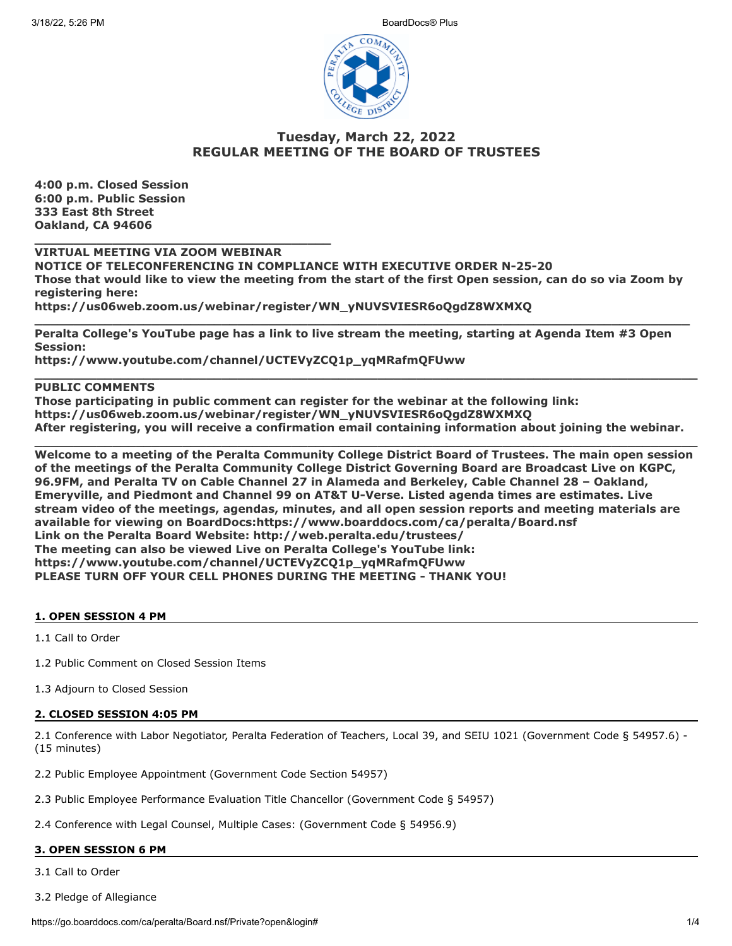3/18/22, 5:26 PM BoardDocs® Plus



# **Tuesday, March 22, 2022 REGULAR MEETING OF THE BOARD OF TRUSTEES**

**4:00 p.m. Closed Session 6:00 p.m. Public Session 333 East 8th Street Oakland, CA 94606**

**VIRTUAL MEETING VIA ZOOM WEBINAR**

**\_\_\_\_\_\_\_\_\_\_\_\_\_\_\_\_\_\_\_\_\_\_\_\_\_\_\_\_\_\_\_\_\_\_\_\_\_\_**

**NOTICE OF TELECONFERENCING IN COMPLIANCE WITH EXECUTIVE ORDER N-25-20 Those that would like to view the meeting from the start of the first Open session, can do so via Zoom by registering here: https://us06web.zoom.us/webinar/register/WN\_yNUVSVIESR6oQgdZ8WXMXQ**

**\_\_\_\_\_\_\_\_\_\_\_\_\_\_\_\_\_\_\_\_\_\_\_\_\_\_\_\_\_\_\_\_\_\_\_\_\_\_\_\_\_\_\_\_\_\_\_\_\_\_\_\_\_\_\_\_\_\_\_\_\_\_\_\_\_\_\_\_\_\_\_\_\_\_\_\_\_\_\_\_\_\_\_\_ Peralta College's YouTube page has a link to live stream the meeting, starting at Agenda Item #3 Open Session:**

**https://www.youtube.com/channel/UCTEVyZCQ1p\_yqMRafmQFUww**

## **PUBLIC COMMENTS**

**Those participating in public comment can register for the webinar at the following link: https://us06web.zoom.us/webinar/register/WN\_yNUVSVIESR6oQgdZ8WXMXQ After registering, you will receive a confirmation email containing information about joining the webinar.**

**\_\_\_\_\_\_\_\_\_\_\_\_\_\_\_\_\_\_\_\_\_\_\_\_\_\_\_\_\_\_\_\_\_\_\_\_\_\_\_\_\_\_\_\_\_\_\_\_\_\_\_\_\_\_\_\_\_\_\_\_\_\_\_\_\_\_\_\_\_\_\_\_\_\_\_\_\_\_\_\_\_\_\_\_\_**

**\_\_\_\_\_\_\_\_\_\_\_\_\_\_\_\_\_\_\_\_\_\_\_\_\_\_\_\_\_\_\_\_\_\_\_\_\_\_\_\_\_\_\_\_\_\_\_\_\_\_\_\_\_\_\_\_\_\_\_\_\_\_\_\_\_\_\_\_\_\_\_\_\_\_\_\_\_\_\_\_\_\_\_\_\_ Welcome to a meeting of the Peralta Community College District Board of Trustees. The main open session of the meetings of the Peralta Community College District Governing Board are Broadcast Live on KGPC, 96.9FM, and Peralta TV on Cable Channel 27 in Alameda and Berkeley, Cable Channel 28 – Oakland, Emeryville, and Piedmont and Channel 99 on AT&T U-Verse. Listed agenda times are estimates. Live stream video of the meetings, agendas, minutes, and all open session reports and meeting materials are available for viewing on BoardDocs:https://www.boarddocs.com/ca/peralta/Board.nsf Link on the Peralta Board Website: http://web.peralta.edu/trustees/ The meeting can also be viewed Live on Peralta College's YouTube link: https://www.youtube.com/channel/UCTEVyZCQ1p\_yqMRafmQFUww PLEASE TURN OFF YOUR CELL PHONES DURING THE MEETING - THANK YOU!**

### **1. OPEN SESSION 4 PM**

1.1 Call to Order

- 1.2 Public Comment on Closed Session Items
- 1.3 Adjourn to Closed Session

### **2. CLOSED SESSION 4:05 PM**

2.1 Conference with Labor Negotiator, Peralta Federation of Teachers, Local 39, and SEIU 1021 (Government Code § 54957.6) - (15 minutes)

2.2 Public Employee Appointment (Government Code Section 54957)

- 2.3 Public Employee Performance Evaluation Title Chancellor (Government Code § 54957)
- 2.4 Conference with Legal Counsel, Multiple Cases: (Government Code § 54956.9)

# **3. OPEN SESSION 6 PM**

3.1 Call to Order

3.2 Pledge of Allegiance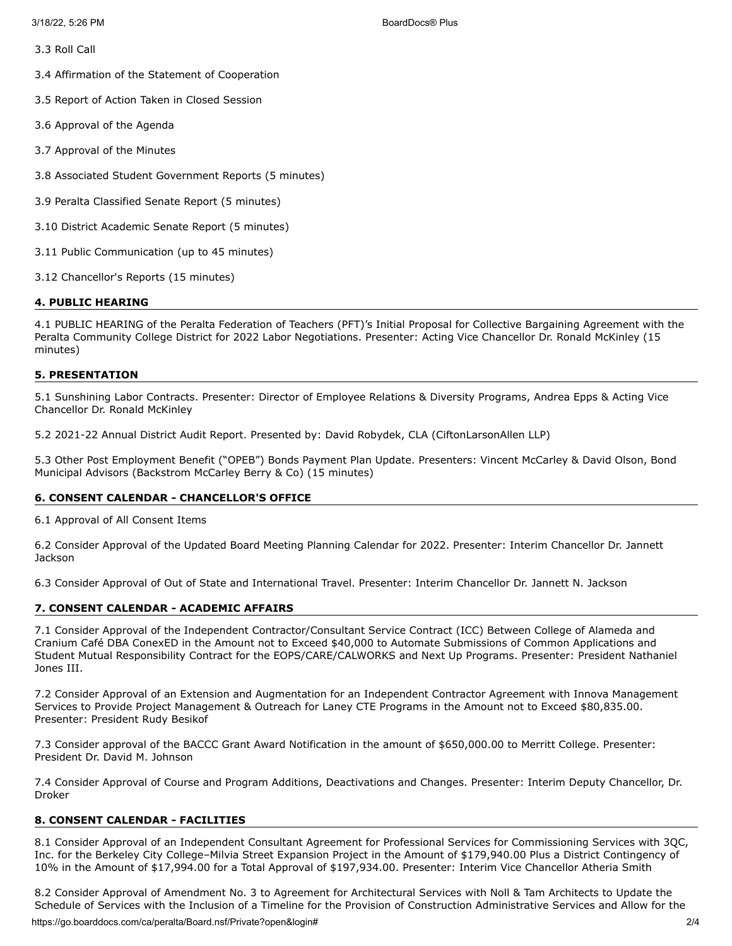3.3 Roll Call

3.4 Affirmation of the Statement of Cooperation

3.5 Report of Action Taken in Closed Session

3.6 Approval of the Agenda

3.7 Approval of the Minutes

3.8 Associated Student Government Reports (5 minutes)

3.9 Peralta Classified Senate Report (5 minutes)

3.10 District Academic Senate Report (5 minutes)

3.11 Public Communication (up to 45 minutes)

3.12 Chancellor's Reports (15 minutes)

#### **4. PUBLIC HEARING**

4.1 PUBLIC HEARING of the Peralta Federation of Teachers (PFT)'s Initial Proposal for Collective Bargaining Agreement with the Peralta Community College District for 2022 Labor Negotiations. Presenter: Acting Vice Chancellor Dr. Ronald McKinley (15 minutes)

#### **5. PRESENTATION**

5.1 Sunshining Labor Contracts. Presenter: Director of Employee Relations & Diversity Programs, Andrea Epps & Acting Vice Chancellor Dr. Ronald McKinley

5.2 2021-22 Annual District Audit Report. Presented by: David Robydek, CLA (CiftonLarsonAllen LLP)

5.3 Other Post Employment Benefit ("OPEB") Bonds Payment Plan Update. Presenters: Vincent McCarley & David Olson, Bond Municipal Advisors (Backstrom McCarley Berry & Co) (15 minutes)

### **6. CONSENT CALENDAR - CHANCELLOR'S OFFICE**

6.1 Approval of All Consent Items

6.2 Consider Approval of the Updated Board Meeting Planning Calendar for 2022. Presenter: Interim Chancellor Dr. Jannett **Jackson** 

6.3 Consider Approval of Out of State and International Travel. Presenter: Interim Chancellor Dr. Jannett N. Jackson

### **7. CONSENT CALENDAR - ACADEMIC AFFAIRS**

7.1 Consider Approval of the Independent Contractor/Consultant Service Contract (ICC) Between College of Alameda and Cranium Café DBA ConexED in the Amount not to Exceed \$40,000 to Automate Submissions of Common Applications and Student Mutual Responsibility Contract for the EOPS/CARE/CALWORKS and Next Up Programs. Presenter: President Nathaniel Jones III.

7.2 Consider Approval of an Extension and Augmentation for an Independent Contractor Agreement with Innova Management Services to Provide Project Management & Outreach for Laney CTE Programs in the Amount not to Exceed \$80,835.00. Presenter: President Rudy Besikof

7.3 Consider approval of the BACCC Grant Award Notification in the amount of \$650,000.00 to Merritt College. Presenter: President Dr. David M. Johnson

7.4 Consider Approval of Course and Program Additions, Deactivations and Changes. Presenter: Interim Deputy Chancellor, Dr. Droker

### **8. CONSENT CALENDAR - FACILITIES**

8.1 Consider Approval of an Independent Consultant Agreement for Professional Services for Commissioning Services with 3QC, Inc. for the Berkeley City College–Milvia Street Expansion Project in the Amount of \$179,940.00 Plus a District Contingency of 10% in the Amount of \$17,994.00 for a Total Approval of \$197,934.00. Presenter: Interim Vice Chancellor Atheria Smith

8.2 Consider Approval of Amendment No. 3 to Agreement for Architectural Services with Noll & Tam Architects to Update the Schedule of Services with the Inclusion of a Timeline for the Provision of Construction Administrative Services and Allow for the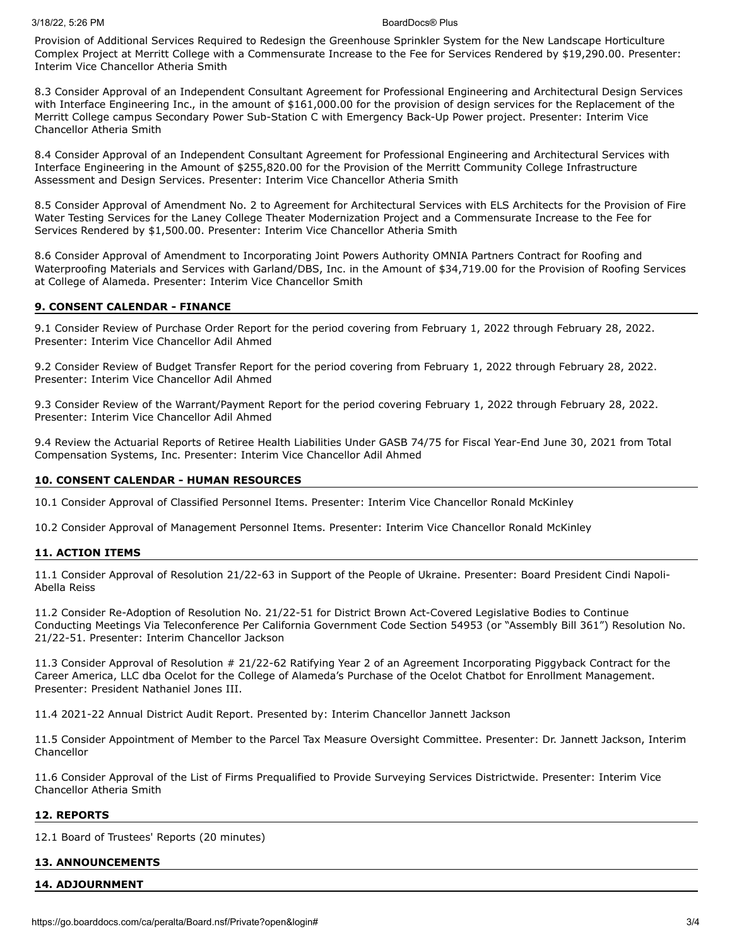#### 3/18/22, 5:26 PM BoardDocs® Plus

Provision of Additional Services Required to Redesign the Greenhouse Sprinkler System for the New Landscape Horticulture Complex Project at Merritt College with a Commensurate Increase to the Fee for Services Rendered by \$19,290.00. Presenter: Interim Vice Chancellor Atheria Smith

8.3 Consider Approval of an Independent Consultant Agreement for Professional Engineering and Architectural Design Services with Interface Engineering Inc., in the amount of \$161,000.00 for the provision of design services for the Replacement of the Merritt College campus Secondary Power Sub-Station C with Emergency Back-Up Power project. Presenter: Interim Vice Chancellor Atheria Smith

8.4 Consider Approval of an Independent Consultant Agreement for Professional Engineering and Architectural Services with Interface Engineering in the Amount of \$255,820.00 for the Provision of the Merritt Community College Infrastructure Assessment and Design Services. Presenter: Interim Vice Chancellor Atheria Smith

8.5 Consider Approval of Amendment No. 2 to Agreement for Architectural Services with ELS Architects for the Provision of Fire Water Testing Services for the Laney College Theater Modernization Project and a Commensurate Increase to the Fee for Services Rendered by \$1,500.00. Presenter: Interim Vice Chancellor Atheria Smith

8.6 Consider Approval of Amendment to Incorporating Joint Powers Authority OMNIA Partners Contract for Roofing and Waterproofing Materials and Services with Garland/DBS, Inc. in the Amount of \$34,719.00 for the Provision of Roofing Services at College of Alameda. Presenter: Interim Vice Chancellor Smith

#### **9. CONSENT CALENDAR - FINANCE**

9.1 Consider Review of Purchase Order Report for the period covering from February 1, 2022 through February 28, 2022. Presenter: Interim Vice Chancellor Adil Ahmed

9.2 Consider Review of Budget Transfer Report for the period covering from February 1, 2022 through February 28, 2022. Presenter: Interim Vice Chancellor Adil Ahmed

9.3 Consider Review of the Warrant/Payment Report for the period covering February 1, 2022 through February 28, 2022. Presenter: Interim Vice Chancellor Adil Ahmed

9.4 Review the Actuarial Reports of Retiree Health Liabilities Under GASB 74/75 for Fiscal Year-End June 30, 2021 from Total Compensation Systems, Inc. Presenter: Interim Vice Chancellor Adil Ahmed

#### **10. CONSENT CALENDAR - HUMAN RESOURCES**

10.1 Consider Approval of Classified Personnel Items. Presenter: Interim Vice Chancellor Ronald McKinley

10.2 Consider Approval of Management Personnel Items. Presenter: Interim Vice Chancellor Ronald McKinley

#### **11. ACTION ITEMS**

11.1 Consider Approval of Resolution 21/22-63 in Support of the People of Ukraine. Presenter: Board President Cindi Napoli-Abella Reiss

11.2 Consider Re-Adoption of Resolution No. 21/22-51 for District Brown Act-Covered Legislative Bodies to Continue Conducting Meetings Via Teleconference Per California Government Code Section 54953 (or "Assembly Bill 361") Resolution No. 21/22-51. Presenter: Interim Chancellor Jackson

11.3 Consider Approval of Resolution # 21/22-62 Ratifying Year 2 of an Agreement Incorporating Piggyback Contract for the Career America, LLC dba Ocelot for the College of Alameda's Purchase of the Ocelot Chatbot for Enrollment Management. Presenter: President Nathaniel Jones III.

11.4 2021-22 Annual District Audit Report. Presented by: Interim Chancellor Jannett Jackson

11.5 Consider Appointment of Member to the Parcel Tax Measure Oversight Committee. Presenter: Dr. Jannett Jackson, Interim Chancellor

11.6 Consider Approval of the List of Firms Prequalified to Provide Surveying Services Districtwide. Presenter: Interim Vice Chancellor Atheria Smith

# **12. REPORTS**

12.1 Board of Trustees' Reports (20 minutes)

### **13. ANNOUNCEMENTS**

### **14. ADJOURNMENT**